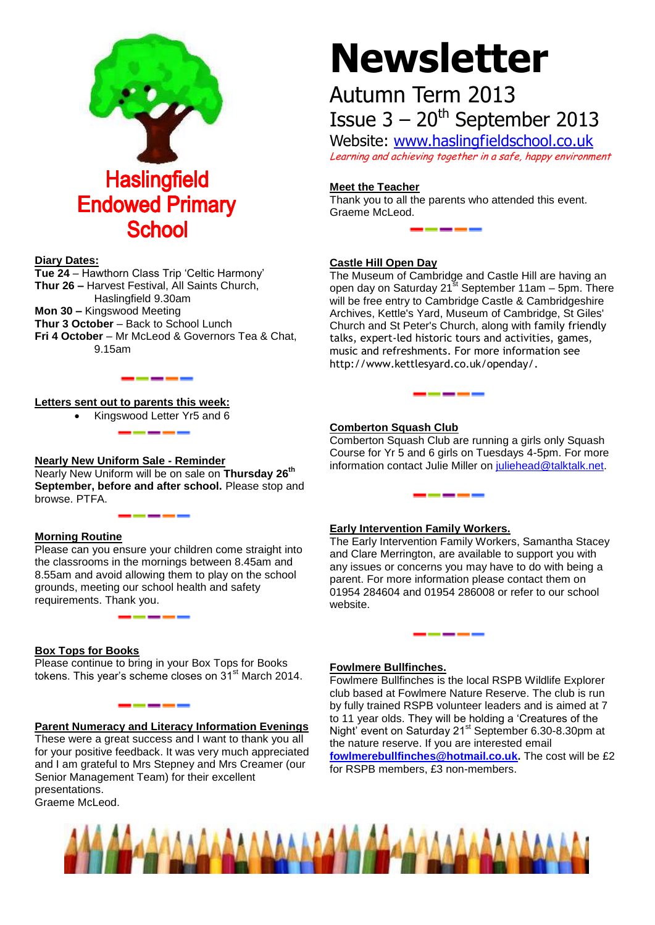

# **Diary Dates:**

**Tue 24** – Hawthorn Class Trip 'Celtic Harmony' **Thur 26 –** Harvest Festival, All Saints Church, Haslingfield 9.30am **Mon 30 –** Kingswood Meeting **Thur 3 October** – Back to School Lunch **Fri 4 October** – Mr McLeod & Governors Tea & Chat, 9.15am

-----

### **Letters sent out to parents this week:**

Kingswood Letter Yr5 and 6

### **Nearly New Uniform Sale - Reminder**

Nearly New Uniform will be on sale on **Thursday 26th September, before and after school.** Please stop and browse. PTFA.

# **Morning Routine**

Please can you ensure your children come straight into the classrooms in the mornings between 8.45am and 8.55am and avoid allowing them to play on the school grounds, meeting our school health and safety requirements. Thank you.

\_\_\_\_\_\_

#### **Box Tops for Books**

Please continue to bring in your Box Tops for Books tokens. This year's scheme closes on 31<sup>st</sup> March 2014.

# **Parent Numeracy and Literacy Information Evenings**

These were a great success and I want to thank you all for your positive feedback. It was very much appreciated and I am grateful to Mrs Stepney and Mrs Creamer (our Senior Management Team) for their excellent presentations. Graeme McLeod.

# **Newsletter**

# Autumn Term 2013 Issue  $3 - 20$ <sup>th</sup> September 2013

Website: [www.haslingfieldschool.co.uk](http://www.haslingfieldschool.co.uk/) Learning and achieving together in a safe, happy environment

# **Meet the Teacher**

Thank you to all the parents who attended this event. Graeme McLeod.

### **Castle Hill Open Day**

The Museum of Cambridge and Castle Hill are having an open day on Saturday 21<sup>st</sup> September 11am - 5pm. There will be free entry to Cambridge Castle & Cambridgeshire Archives, Kettle's Yard, Museum of Cambridge, St Giles' Church and St Peter's Church, along with family friendly talks, expert-led historic tours and activities, games, music and refreshments. For more information see http://www.kettlesyard.co.uk/openday/.

# **Comberton Squash Club**

Comberton Squash Club are running a girls only Squash Course for Yr 5 and 6 girls on Tuesdays 4-5pm. For more information contact Julie Miller on [juliehead@talktalk.net.](mailto:juliehead@talktalk.net)

\_\_\_\_\_

\_\_\_\_\_\_\_

# **Early Intervention Family Workers.**

The Early Intervention Family Workers, Samantha Stacey and Clare Merrington, are available to support you with any issues or concerns you may have to do with being a parent. For more information please contact them on 01954 284604 and 01954 286008 or refer to our school website.

#### **Fowlmere Bullfinches.**

Fowlmere Bullfinches is the local RSPB Wildlife Explorer club based at Fowlmere Nature Reserve. The club is run by fully trained RSPB volunteer leaders and is aimed at 7 to 11 year olds. They will be holding a 'Creatures of the Night' event on Saturday 21st September 6.30-8.30pm at the nature reserve. If you are interested email **[fowlmerebullfinches@hotmail.co.uk.](mailto:fowlmerebullfinches@hotmail.co.uk)** The cost will be £2 for RSPB members, £3 non-members.